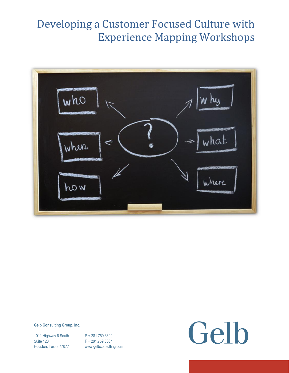

#### **Gelb Consulting Group, Inc.**

1011 Highway 6 South P + 281.759.3600 Suite 120 F + 281.759.3607

Houston, Texas 77077 www.gelbconsulting.com

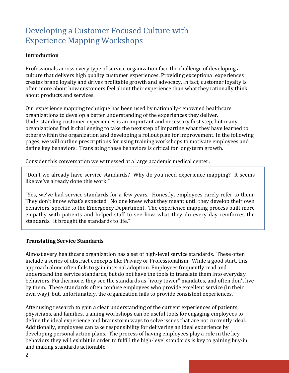#### **Introduction**

Professionals across every type of service organization face the challenge of developing a culture that delivers high quality customer experiences. Providing exceptional experiences creates brand loyalty and drives profitable growth and advocacy. In fact, customer loyalty is often more about how customers feel about their experience than what they rationally think about products and services.

Our experience mapping technique has been used by nationally-renowned healthcare organizations to develop a better understanding of the experiences they deliver. Understanding customer experiences is an important and necessary first step, but many organizations find it challenging to take the next step of imparting what they have learned to others within the organization and developing a rollout plan for improvement. In the following pages, we will outline prescriptions for using training workshops to motivate employees and define key behaviors. Translating these behaviors is critical for long-term growth.

Consider this conversation we witnessed at a large academic medical center:

"Don't we already have service standards? Why do you need experience mapping? It seems like we've already done this work."

"Yes, we've had service standards for a few years. Honestly, employees rarely refer to them. They don't know what's expected. No one knew what they meant until they develop their own behaviors, specific to the Emergency Department. The experience mapping process built more empathy with patients and helped staff to see how what they do every day reinforces the standards. It brought the standards to life."

#### **Translating Service Standards**

Almost every healthcare organization has a set of high-level service standards. These often include a series of abstract concepts like Privacy or Professionalism. While a good start, this approach alone often fails to gain internal adoption. Employees frequently read and understand the service standards, but do not have the tools to translate them into everyday behaviors. Furthermore, they see the standards as "ivory tower" mandates, and often don't live by them. These standards often confuse employees who provide excellent service (in their own way), but, unfortunately, the organization fails to provide consistent experiences.

After using research to gain a clear understanding of the current experiences of patients, physicians, and families, training workshops can be useful tools for engaging employees to define the ideal experience and brainstorm ways to solve issues that are not currently ideal. Additionally, employees can take responsibility for delivering an ideal experience by developing personal action plans. The process of having employees play a role in the key behaviors they will exhibit in order to fulfill the high-level standards is key to gaining buy-in and making standards actionable.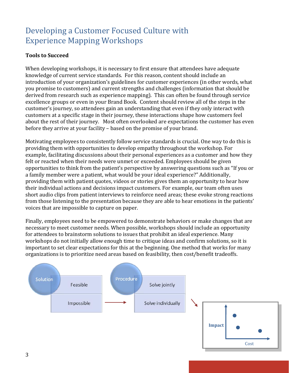#### **Tools to Succeed**

When developing workshops, it is necessary to first ensure that attendees have adequate knowledge of current service standards. For this reason, content should include an introduction of your organization's guidelines for customer experiences (in other words, what you promise to customers) and current strengths and challenges (information that should be derived from research such as experience mapping). This can often be found through service excellence groups or even in your Brand Book. Content should review all of the steps in the customer's journey, so attendees gain an understanding that even if they only interact with customers at a specific stage in their journey, these interactions shape how customers feel about the rest of their journey. Most often overlooked are expectations the customer has even before they arrive at your facility – based on the promise of your brand.

Motivating employees to consistently follow service standards is crucial. One way to do this is providing them with opportunities to develop empathy throughout the workshop. For example, facilitating discussions about their personal experiences as a customer and how they felt or reacted when their needs were unmet or exceeded. Employees should be given opportunities to think from the patient's perspective by answering questions such as "If you or a family member were a patient, what would be your ideal experience?" Additionally, providing them with patient quotes, videos or stories gives them an opportunity to hear how their individual actions and decisions impact customers. For example, our team often uses short audio clips from patient interviews to reinforce need areas; these evoke strong reactions from those listening to the presentation because they are able to hear emotions in the patients' voices that are impossible to capture on paper.

Finally, employees need to be empowered to demonstrate behaviors or make changes that are necessary to meet customer needs. When possible, workshops should include an opportunity for attendees to brainstorm solutions to issues that prohibit an ideal experience. Many workshops do not initially allow enough time to critique ideas and confirm solutions, so it is important to set clear expectations for this at the beginning. One method that works for many organizations is to prioritize need areas based on feasibility, then cost/benefit tradeoffs.

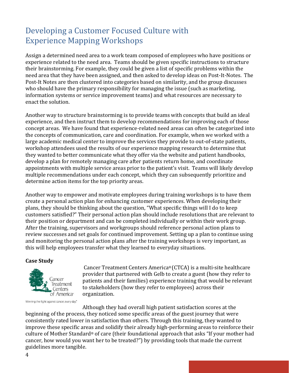Assign a determined need area to a work team composed of employees who have positions or experience related to the need area. Teams should be given specific instructions to structure their brainstorming. For example, they could be given a list of specific problems within the need area that they have been assigned, and then asked to develop ideas on Post-It-Notes. The Post-It Notes are then clustered into categories based on similarity, and the group discusses who should have the primary responsibility for managing the issue (such as marketing, information systems or service improvement teams) and what resources are necessary to enact the solution.

Another way to structure brainstorming is to provide teams with concepts that build an ideal experience, and then instruct them to develop recommendations for improving each of those concept areas. We have found that experience-related need areas can often be categorized into the concepts of communication, care and coordination. For example, when we worked with a large academic medical center to improve the services they provide to out-of-state patients, workshop attendees used the results of our experience mapping research to determine that they wanted to better communicate what they offer via the website and patient handbooks, develop a plan for remotely managing care after patients return home, and coordinate appointments with multiple service areas prior to the patient's visit. Teams will likely develop multiple recommendations under each concept, which they can subsequently prioritize and determine action items for the top priority areas.

Another way to empower and motivate employees during training workshops is to have them create a personal action plan for enhancing customer experiences. When developing their plans, they should be thinking about the question, "What specific things will I do to keep customers satisfied?" Their personal action plan should include resolutions that are relevant to their position or department and can be completed individually or within their work group. After the training, supervisors and workgroups should reference personal action plans to review successes and set goals for continued improvement. Setting up a plan to continue using and monitoring the personal action plans after the training workshops is very important, as this will help employees transfer what they learned to everyday situations.

#### **Case Study**



Winning the fight against cancer, every day.<sup>®</sup>

Cancer Treatment Centers America® (CTCA) is a multi-site healthcare provider that partnered with Gelb to create a guest (how they refer to patients and their families) experience training that would be relevant to stakeholders (how they refer to employees) across their organization.

Although they had overall high patient satisfaction scores at the beginning of the process, they noticed some specific areas of the guest journey that were consistently rated lower in satisfaction than others. Through this training, they wanted to improve these specific areas and solidify their already high-performing areas to reinforce their culture of Mother Standard® of care (their foundational approach that asks "If your mother had cancer, how would you want her to be treated?") by providing tools that made the current guidelines more tangible.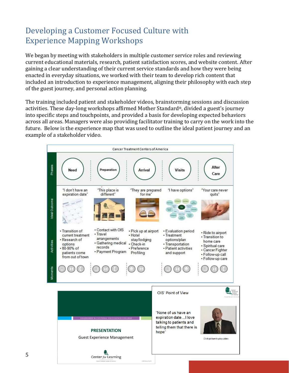We began by meeting with stakeholders in multiple customer service roles and reviewing current educational materials, research, patient satisfaction scores, and website content. After gaining a clear understanding of their current service standards and how they were being enacted in everyday situations, we worked with their team to develop rich content that included an introduction to experience management, aligning their philosophy with each step of the guest journey, and personal action planning.

The training included patient and stakeholder videos, brainstorming sessions and discussion activities. These day-long workshops affirmed Mother Standard®, divided a guest's journey into specific steps and touchpoints, and provided a basis for developing expected behaviors across all areas. Managers were also providing facilitator training to carry on the work into the future. Below is the experience map that was used to outline the ideal patient journey and an example of a stakeholder video.

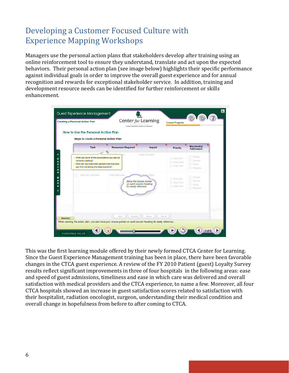Managers use the personal action plans that stakeholders develop after training using an online reinforcement tool to ensure they understand, translate and act upon the expected behaviors. Their personal action plan (see image below) highlights their specific performance against individual goals in order to improve the overall guest experience and for annual recognition and rewards for exceptional stakeholder service. In addition, training and development resource needs can be identified for further reinforcement or skills enhancement.

| <b>Creating a Personal Action Plan</b>                                        |                                                                                                                                                                 |                                                                                                                                      | Center for Learning<br>Cancer Treatment Centers of America» |                                          | <b>Course Progress</b>                |  |
|-------------------------------------------------------------------------------|-----------------------------------------------------------------------------------------------------------------------------------------------------------------|--------------------------------------------------------------------------------------------------------------------------------------|-------------------------------------------------------------|------------------------------------------|---------------------------------------|--|
| How to Use the Personal Action Plan<br>Steps to create a Personal Action Plan |                                                                                                                                                                 |                                                                                                                                      |                                                             |                                          |                                       |  |
|                                                                               | <b>Task</b>                                                                                                                                                     | <b>Resources Required</b>                                                                                                            | Impact                                                      | <b>Priority</b>                          | Standard(s)<br>Addressed              |  |
|                                                                               | . What are some of the expectations you are not<br>currently meeting?<br>. How can you overcome barriers that may stop<br>you from achieving the ideal outcome? |                                                                                                                                      | Enter the Impact                                            | C Quick Win<br>Short Term<br>C Long Term | Choose<br>Connect<br>Focus<br>Empower |  |
| m                                                                             | Enter your Task here                                                                                                                                            | <b>Enter Resources</b><br>Move the mouse pointer<br>on each column heading<br>for ready reference.                                   | Enter the Impact                                            | C Quick Win<br>Short Term<br>C Long Term | Choose<br>Connect<br>Focus<br>Empower |  |
|                                                                               |                                                                                                                                                                 |                                                                                                                                      |                                                             |                                          |                                       |  |
| Narrator                                                                      |                                                                                                                                                                 | Add.<br><b>Delete</b><br>While creating the action plan, you can move your mouse pointer on each column heading for ready reference. | <b>Save</b><br>Print                                        |                                          |                                       |  |

This was the first learning module offered by their newly formed CTCA Center for Learning. Since the Guest Experience Management training has been in place, there have been favorable changes in the CTCA guest experience. A review of the FY 2010 Patient (guest) Loyalty Survey results reflect significant improvements in three of four hospitals in the following areas: ease and speed of guest admissions, timeliness and ease in which care was delivered and overall satisfaction with medical providers and the CTCA experience, to name a few. Moreover, all four CTCA hospitals showed an increase in guest satisfaction scores related to satisfaction with their hospitalist, radiation oncologist, surgeon, understanding their medical condition and overall change in hopefulness from before to after coming to CTCA.